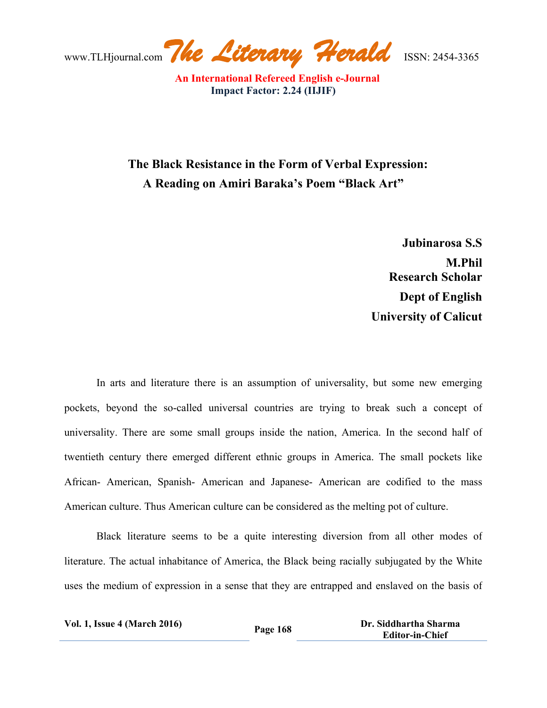www.TLHjournal.com*The Literary Herald*ISSN: 2454-3365

## **The Black Resistance in the Form of Verbal Expression: A Reading on Amiri Baraka's Poem "Black Art"**

**Jubinarosa S.S M.Phil Research Scholar Dept of English University of Calicut**

In arts and literature there is an assumption of universality, but some new emerging pockets, beyond the so-called universal countries are trying to break such a concept of universality. There are some small groups inside the nation, America. In the second half of twentieth century there emerged different ethnic groups in America. The small pockets like African- American, Spanish- American and Japanese- American are codified to the mass American culture. Thus American culture can be considered as the melting pot of culture.

Black literature seems to be a quite interesting diversion from all other modes of literature. The actual inhabitance of America, the Black being racially subjugated by the White uses the medium of expression in a sense that they are entrapped and enslaved on the basis of

| <b>Vol. 1, Issue 4 (March 2016)</b> | Page 168 | Dr. Siddhartha Sharma  |
|-------------------------------------|----------|------------------------|
|                                     |          | <b>Editor-in-Chief</b> |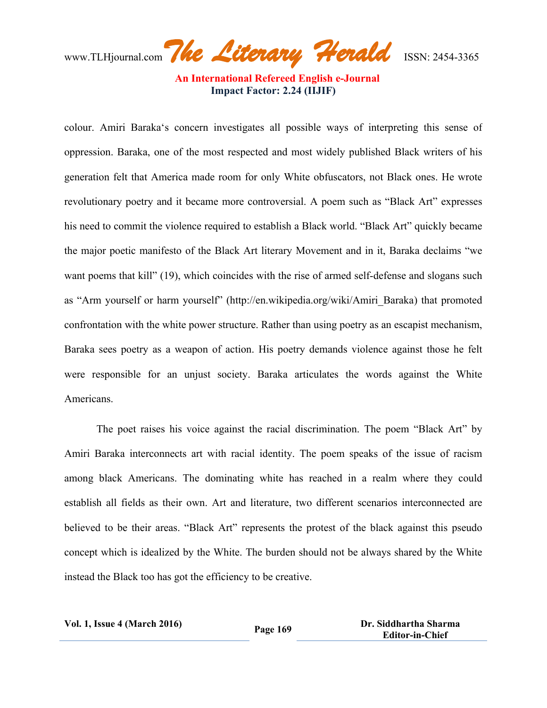www.TLHjournal.com*The Literary Herald*ISSN: 2454-3365

colour. Amiri Baraka's concern investigates all possible ways of interpreting this sense of oppression. Baraka, one of the most respected and most widely published Black writers of his generation felt that America made room for only White obfuscators, not Black ones. He wrote revolutionary poetry and it became more controversial. A poem such as "Black Art" expresses his need to commit the violence required to establish a Black world. "Black Art" quickly became the major poetic manifesto of the Black Art literary Movement and in it, Baraka declaims "we want poems that kill" (19), which coincides with the rise of armed self-defense and slogans such as "Arm yourself or harm yourself" (http://en.wikipedia.org/wiki/Amiri\_Baraka) that promoted confrontation with the white power structure. Rather than using poetry as an escapist mechanism, Baraka sees poetry as a weapon of action. His poetry demands violence against those he felt were responsible for an unjust society. Baraka articulates the words against the White Americans.

The poet raises his voice against the racial discrimination. The poem "Black Art" by Amiri Baraka interconnects art with racial identity. The poem speaks of the issue of racism among black Americans. The dominating white has reached in a realm where they could establish all fields as their own. Art and literature, two different scenarios interconnected are believed to be their areas. "Black Art" represents the protest of the black against this pseudo concept which is idealized by the White. The burden should not be always shared by the White instead the Black too has got the efficiency to be creative.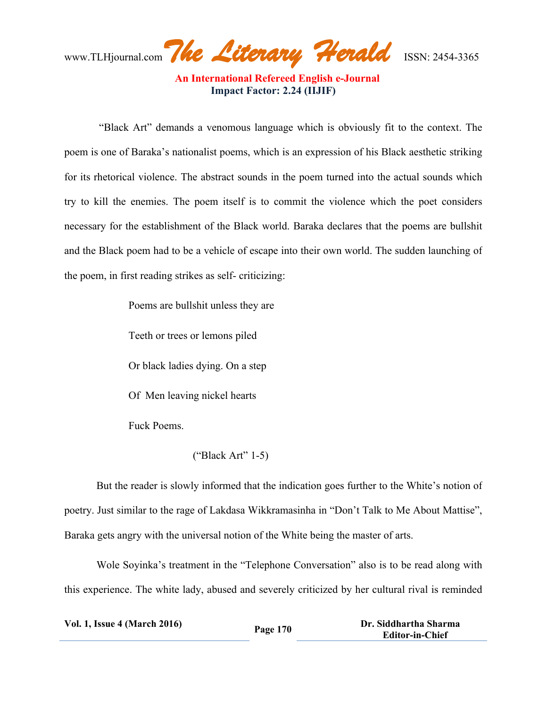www.TLHjournal.com*The Literary Herald*ISSN: 2454-3365

"Black Art" demands a venomous language which is obviously fit to the context. The poem is one of Baraka's nationalist poems, which is an expression of his Black aesthetic striking for its rhetorical violence. The abstract sounds in the poem turned into the actual sounds which try to kill the enemies. The poem itself is to commit the violence which the poet considers necessary for the establishment of the Black world. Baraka declares that the poems are bullshit and the Black poem had to be a vehicle of escape into their own world. The sudden launching of the poem, in first reading strikes as self- criticizing:

Poems are bullshit unless they are

Teeth or trees or lemons piled

Or black ladies dying. On a step

Of Men leaving nickel hearts

Fuck Poems.

## ("Black Art" 1-5)

But the reader is slowly informed that the indication goes further to the White's notion of poetry. Just similar to the rage of Lakdasa Wikkramasinha in "Don't Talk to Me About Mattise", Baraka gets angry with the universal notion of the White being the master of arts.

Wole Soyinka's treatment in the "Telephone Conversation" also is to be read along with this experience. The white lady, abused and severely criticized by her cultural rival is reminded

| <b>Vol. 1, Issue 4 (March 2016)</b> | Page 170 | Dr. Siddhartha Sharma  |
|-------------------------------------|----------|------------------------|
|                                     |          | <b>Editor-in-Chief</b> |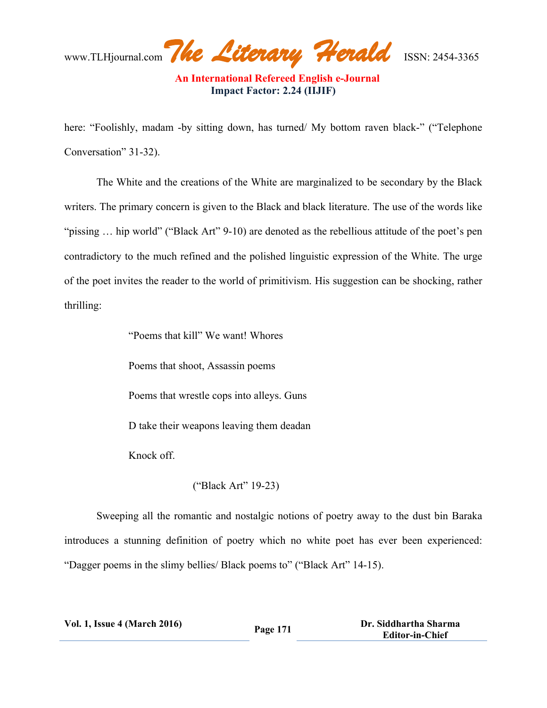www.TLHjournal.com*The Literary Herald*ISSN: 2454-3365

here: "Foolishly, madam -by sitting down, has turned/ My bottom raven black-" ("Telephone") Conversation" 31-32).

The White and the creations of the White are marginalized to be secondary by the Black writers. The primary concern is given to the Black and black literature. The use of the words like "pissing ... hip world" ("Black Art" 9-10) are denoted as the rebellious attitude of the poet's pen contradictory to the much refined and the polished linguistic expression of the White. The urge of the poet invites the reader to the world of primitivism. His suggestion can be shocking, rather thrilling:

"Poems that kill" We want! Whores

Poems that shoot, Assassin poems

Poems that wrestle cops into alleys. Guns

D take their weapons leaving them deadan

Knock off.

## ("Black Art" 19-23)

Sweeping all the romantic and nostalgic notions of poetry away to the dust bin Baraka introduces a stunning definition of poetry which no white poet has ever been experienced: "Dagger poems in the slimy bellies/ Black poems to" ("Black Art" 14-15).

| <b>Vol. 1, Issue 4 (March 2016)</b> | Page 171 | Dr. Siddhartha Sharma  |
|-------------------------------------|----------|------------------------|
|                                     |          | <b>Editor-in-Chief</b> |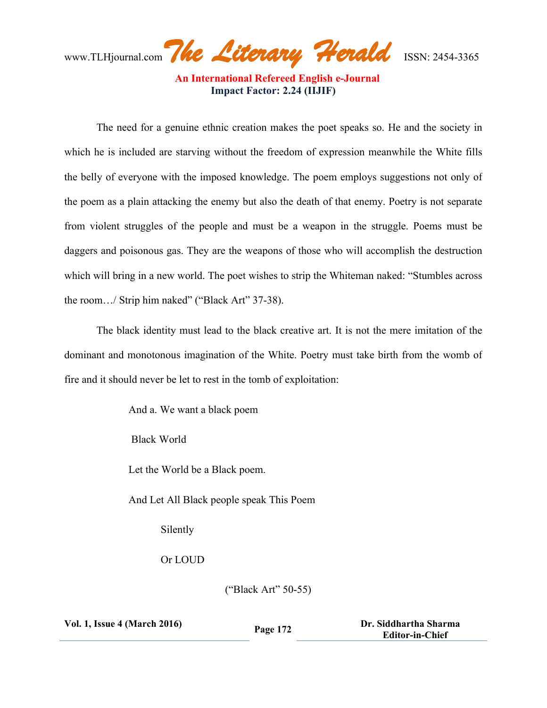www.TLHjournal.com*The Literary Herald*ISSN: 2454-3365

The need for a genuine ethnic creation makes the poet speaks so. He and the society in which he is included are starving without the freedom of expression meanwhile the White fills the belly of everyone with the imposed knowledge. The poem employs suggestions not only of the poem as a plain attacking the enemy but also the death of that enemy. Poetry is not separate from violent struggles of the people and must be a weapon in the struggle. Poems must be daggers and poisonous gas. They are the weapons of those who will accomplish the destruction which will bring in a new world. The poet wishes to strip the Whiteman naked: "Stumbles across the room…/ Strip him naked" ("Black Art" 37-38).

The black identity must lead to the black creative art. It is not the mere imitation of the dominant and monotonous imagination of the White. Poetry must take birth from the womb of fire and it should never be let to rest in the tomb of exploitation:

And a. We want a black poem

Black World

Let the World be a Black poem.

And Let All Black people speak This Poem

Silently

Or LOUD

("Black Art" 50-55)